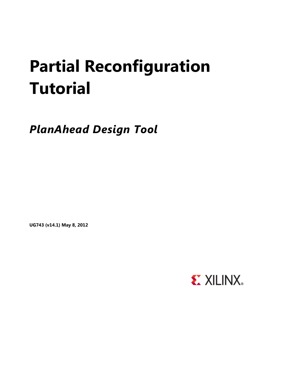# **Partial Reconfiguration Tutorial**

*PlanAhead Design Tool*

**UG743 (v14.1) May 8, 2012**

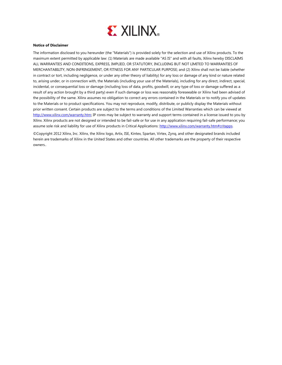

#### **Notice of Disclaimer**

The information disclosed to you hereunder (the "Materials") is provided solely for the selection and use of Xilinx products. To the maximum extent permitted by applicable law: (1) Materials are made available "AS IS" and with all faults, Xilinx hereby DISCLAIMS ALL WARRANTIES AND CONDITIONS, EXPRESS, IMPLIED, OR STATUTORY, INCLUDING BUT NOT LIMITED TO WARRANTIES OF MERCHANTABILITY, NON-INFRINGEMENT, OR FITNESS FOR ANY PARTICULAR PURPOSE; and (2) Xilinx shall not be liable (whether in contract or tort, including negligence, or under any other theory of liability) for any loss or damage of any kind or nature related to, arising under, or in connection with, the Materials (including your use of the Materials), including for any direct, indirect, special, incidental, or consequential loss or damage (including loss of data, profits, goodwill, or any type of loss or damage suffered as a result of any action brought by a third party) even if such damage or loss was reasonably foreseeable or Xilinx had been advised of the possibility of the same. Xilinx assumes no obligation to correct any errors contained in the Materials or to notify you of updates to the Materials or to product specifications. You may not reproduce, modify, distribute, or publicly display the Materials without prior written consent. Certain products are subject to the terms and conditions of the Limited Warranties which can be viewed at [http://www.xilinx.com/warranty.htm;](http://www.xilinx.com/warranty.htm) IP cores may be subject to warranty and support terms contained in a license issued to you by Xilinx. Xilinx products are not designed or intended to be fail-safe or for use in any application requiring fail-safe performance; you assume sole risk and liability for use of Xilinx products in Critical Applications[: http://www.xilinx.com/warranty.htm#critapps.](http://www.xilinx.com/warranty.htm%23critapps)

©Copyright 2012 Xilinx, Inc. Xilinx, the Xilinx logo, Artix, ISE, Kintex, Spartan, Virtex, Zynq, and other designated brands included herein are trademarks of Xilinx in the United States and other countries. All other trademarks are the property of their respective owners..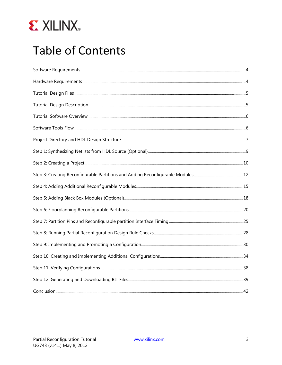

# **Table of Contents**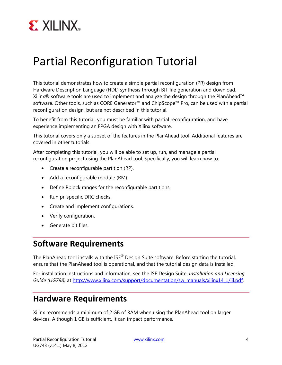

## Partial Reconfiguration Tutorial

This tutorial demonstrates how to create a simple partial reconfiguration (PR) design from Hardware Description Language (HDL) synthesis through BIT file generation and download. Xilinx® software tools are used to implement and analyze the design through the PlanAhead™ software. Other tools, such as CORE Generator™ and ChipScope™ Pro, can be used with a partial reconfiguration design, but are not described in this tutorial.

To benefit from this tutorial, you must be familiar with partial reconfiguration, and have experience implementing an FPGA design with Xilinx software.

This tutorial covers only a subset of the features in the PlanAhead tool. Additional features are covered in other tutorials.

After completing this tutorial, you will be able to set up, run, and manage a partial reconfiguration project using the PlanAhead tool. Specifically, you will learn how to:

- Create a reconfigurable partition (RP).
- Add a reconfigurable module (RM).
- Define Pblock ranges for the reconfigurable partitions.
- Run pr-specific DRC checks.
- Create and implement configurations.
- Verify configuration.
- Generate bit files.

### <span id="page-3-0"></span>**Software Requirements**

The PlanAhead tool installs with the ISE<sup>®</sup> Design Suite software. Before starting the tutorial, ensure that the PlanAhead tool is operational, and that the tutorial design data is installed.

For installation instructions and information, see the ISE Design Suite: *Installation and Licensing*  Guide (UG798) at [http://www.xilinx.com/support/documentation/sw\\_manuals/xilinx14\\_1/iil.pdf.](http://www.xilinx.com/support/documentation/sw_manuals/xilinx14_1/iil.pdf)

### <span id="page-3-1"></span>**Hardware Requirements**

Xilinx recommends a minimum of 2 GB of RAM when using the PlanAhead tool on larger devices. Although 1 GB is sufficient, it can impact performance.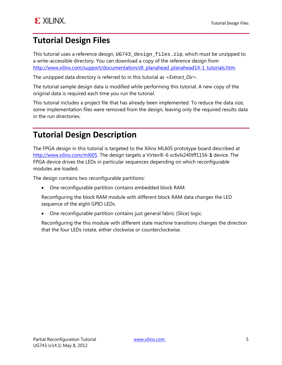### <span id="page-4-0"></span>**Tutorial Design Files**

This tutorial uses a reference design, UG743\_design\_files.zip, which must be unzipped to a write-accessible directory. You can download a copy of the reference design from [http://www.xilinx.com/support/documentation/dt\\_planahead\\_planahead14-1\\_tutorials.htm.](http://www.xilinx.com/support/documentation/dt_planahead_planahead14-1_tutorials.htm)

The unzipped data directory is referred to in this tutorial as <*Extract\_Dir*>.

The tutorial sample design data is modified while performing this tutorial. A new copy of the original data is required each time you run the tutorial.

This tutorial includes a project file that has already been implemented. To reduce the data size, some implementation files were removed from the design, leaving only the required results data in the run directories.

### <span id="page-4-1"></span>**Tutorial Design Description**

The FPGA design in this tutorial is targeted to the Xilinx ML605 prototype board described at [http://www.xilinx.com/ml605.](http://www.xilinx.com/ml605) The design targets a Virtex®-6 xc6vlx240tff1156-**1** device. The FPGA device drives the LEDs in particular sequences depending on which reconfigurable modules are loaded.

The design contains two reconfigurable partitions:

• One reconfigurable partition contains embedded block RAM.

Reconfiguring the block RAM module with different block RAM data changes the LED sequence of the eight GPIO LEDs.

• One reconfigurable partition contains just general fabric (Slice) logic.

Reconfiguring the this module with different state machine transitions changes the direction that the four LEDs rotate, either clockwise or counterclockwise.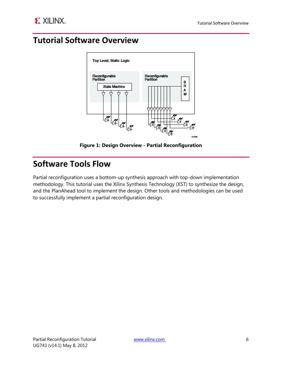### <span id="page-5-0"></span>**Tutorial Software Overview**



**Figure 1: Design Overview - Partial Reconfiguration**

### <span id="page-5-1"></span>**Software Tools Flow**

Partial reconfiguration uses a bottom-up synthesis approach with top-down implementation methodology. This tutorial uses the Xilinx Synthesis Technology (XST) to synthesize the design, and the PlanAhead tool to implement the design. Other tools and methodologies can be used to successfully implement a partial reconfiguration design.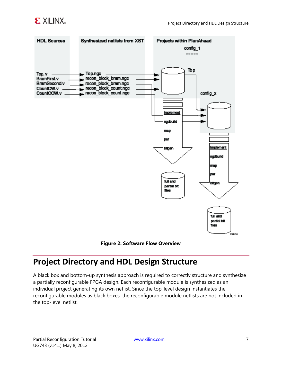



#### **Figure 2: Software Flow Overview**

### <span id="page-6-0"></span>**Project Directory and HDL Design Structure**

A black box and bottom-up synthesis approach is required to correctly structure and synthesize a partially reconfigurable FPGA design. Each reconfigurable module is synthesized as an individual project generating its own netlist. Since the top-level design instantiates the reconfigurable modules as black boxes, the reconfigurable module netlists are not included in the top-level netlist.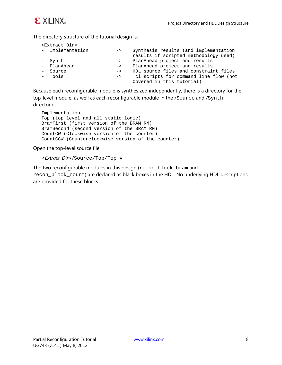

The directory structure of the tutorial design is:

| <extract dir=""></extract> |               |                                                                                |
|----------------------------|---------------|--------------------------------------------------------------------------------|
| - Implementation           | $\rightarrow$ | Synthesis results (and implementation<br>results if scripted methodology used) |
| - Synth                    | $\rightarrow$ | PlanAhead project and results                                                  |
| - PlanAhead                | $\rightarrow$ | PlanAhead project and results                                                  |
| - Source                   | $\rightarrow$ | HDL source files and constraint files                                          |
| - Tools                    | $\rightarrow$ | Tcl scripts for command line flow (not<br>Covered in this tutorial)            |

Because each reconfigurable module is synthesized independently, there is a directory for the top-level module, as well as each reconfigurable module in the /Source and /Synth directories.

```
Implementation
Top (top level and all static logic)
BramFirst (first version of the BRAM RM)
BramSecond (second version of the BRAM RM)
CountCW (Clockwise version of the counter)
CountCCW (Counterclockwise version of the counter)
```
Open the top-level source file:

<*Extract\_Dir*>/Source/Top/Top.v

The two reconfigurable modules in this design (recon\_block\_bram and recon\_block\_count) are declared as black boxes in the HDL. No underlying HDL descriptions are provided for these blocks.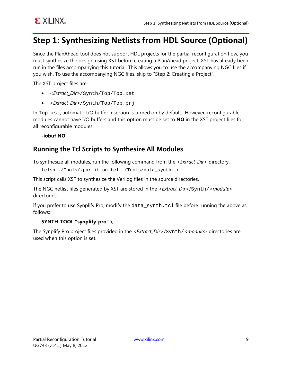### <span id="page-8-0"></span>**Step 1: Synthesizing Netlists from HDL Source (Optional)**

Since the PlanAhead tool does not support HDL projects for the partial reconfiguration flow, you must synthesize the design using XST before creating a PlanAhead project. XST has already been run in the files accompanying this tutorial. This allows you to use the accompanying NGC files if you wish. To use the accompanying NGC files, skip to "Step 2: Creating a Project".

The XST project files are:

- <*Extract\_Dir*>/Synth/Top/Top.xst
- <*Extract\_Dir*>/Synth/Top/Top.prj

In Top.xst, automatic I/O buffer insertion is turned on by default. However, reconfigurable modules cannot have I/O buffers and this option must be set to **NO** in the XST project files for all reconfigurable modules.

**-iobuf NO**

### **Running the Tcl Scripts to Synthesize All Modules**

To synthesize all modules, run the following command from the <*Extract\_Dir*> directory.

```
tclsh ./Tools/xpartition.tcl ./Tools/data_synth.tcl
```
This script calls XST to synthesize the Verilog files in the source directories.

The NGC netlist files generated by XST are stored in the <*Extract\_Dir*>/Synth/<*module*> directories.

If you prefer to use Synplify Pro, modify the data\_synth.tcl file before running the above as follows:

#### **SYNTH\_TOOL "synplify\_pro" \**

The Synplify Pro project files provided in the <*Extract\_Dir*>/Synth/<*module*> directories are used when this option is set.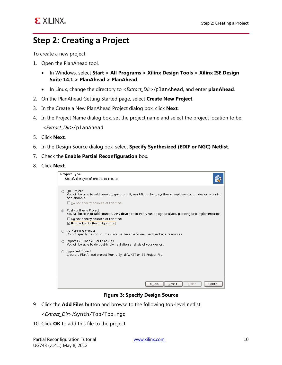### <span id="page-9-0"></span>**Step 2: Creating a Project**

To create a new project:

- 1. Open the PlanAhead tool.
	- In Windows, select **Start > All Programs > Xilinx Design Tools > Xilinx ISE Design Suite 14.1 > PlanAhead > PlanAhead**.
	- In Linux, change the directory to <*Extract\_Dir*>/planAhead, and enter **planAhead**.
- 2. On the PlanAhead Getting Started page, select **Create New Project**.
- 3. In the Create a New PlanAhead Project dialog box, click **Next**.
- 4. In the Project Name dialog box, set the project name and select the project location to be: <*Extract\_Dir*>/planAhead
- 5. Click **Next**.
- 6. In the Design Source dialog box, select **Specify Synthesized (EDIF or NGC) Netlist**.
- 7. Check the **Enable Partial Reconfiguration** box.
- 8. Click **Next**.

| Project Type<br>Specify the type of project to create.                                                                                                                                                                         |  |  |  |  |
|--------------------------------------------------------------------------------------------------------------------------------------------------------------------------------------------------------------------------------|--|--|--|--|
| <b>RTL Project</b><br>You will be able to add sources, generate IP, run RTL analysis, synthesis, implementation, design planning<br>and analysis.<br>$\Box$ Do not specify sources at this time                                |  |  |  |  |
| Post-synthesis Project<br>$\circ$<br>You will be able to add sources, view device resources, run design analysis, planning and implementation.<br>$\Box$ Do not specify sources at this time<br>Enable Partial Reconfiguration |  |  |  |  |
| I/O Planning Project<br>$\bigcirc$<br>Do not specify design sources. You will be able to view part/package resources.                                                                                                          |  |  |  |  |
| Import ISE Place & Route results<br>∩<br>You will be able to do post-implementation analysis of your design.                                                                                                                   |  |  |  |  |
| Imported Project<br>$\bigcirc$<br>Create a PlanAhead project from a Synplify, XST or ISE Project File.                                                                                                                         |  |  |  |  |
|                                                                                                                                                                                                                                |  |  |  |  |
| $\leq$ Back<br>$Next$ ><br>Finish<br>Cancel                                                                                                                                                                                    |  |  |  |  |

#### **Figure 3: Specify Design Source**

9. Click the **Add Files** button and browse to the following top-level netlist:

<*Extract\_Dir*>/Synth/Top/Top.ngc

10. Click **OK** to add this file to the project.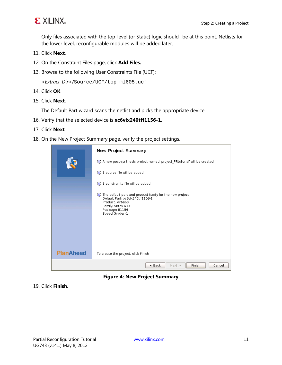

Only files associated with the top-level (or Static) logic should be at this point. Netlists for the lower level, reconfigurable modules will be added later.

- 11. Click **Next**.
- 12. On the Constraint Files page, click **Add Files.**
- 13. Browse to the following User Constraints File (UCF):

<*Extract\_Dir*>/Source/UCF/top\_ml605.ucf

- 14. Click **OK**.
- 15. Click **Next**.

The Default Part wizard scans the netlist and picks the appropriate device.

- 16. Verify that the selected device is **xc6vlx240tff1156-1**.
- 17. Click **Next**.
- 18. On the New Project Summary page, verify the project settings.

|                  | New Project Summary                                                                                                                                                                 |  |  |  |  |
|------------------|-------------------------------------------------------------------------------------------------------------------------------------------------------------------------------------|--|--|--|--|
|                  | (b) A new post-synthesis project named 'project PRtutorial' will be created.'                                                                                                       |  |  |  |  |
|                  | 1 source file will be added.                                                                                                                                                        |  |  |  |  |
|                  | 1 constraints file will be added.                                                                                                                                                   |  |  |  |  |
|                  | (b) The default part and product family for the new project:<br>Default Part: xc6vlx240tff1156-1<br>Product: Virtex-6<br>Family: Virtex-6 LXT<br>Package: ff1156<br>Speed Grade: -1 |  |  |  |  |
| <b>PlanAhead</b> | To create the project, click Finish                                                                                                                                                 |  |  |  |  |
|                  | < <u>B</u> ack<br>Einish<br>Next ><br>Cancel                                                                                                                                        |  |  |  |  |

**Figure 4: New Project Summary**

19. Click **Finish**.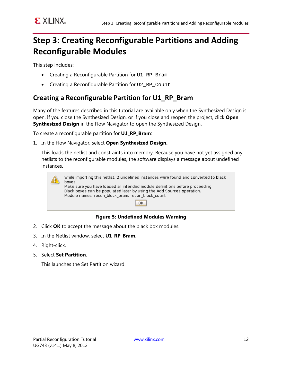### <span id="page-11-0"></span>**Step 3: Creating Reconfigurable Partitions and Adding Reconfigurable Modules**

This step includes:

- Creating a Reconfigurable Partition for U1\_RP\_Bram
- Creating a Reconfigurable Partition for U2\_RP\_Count

### **Creating a Reconfigurable Partition for U1\_RP\_Bram**

Many of the features described in this tutorial are available only when the Synthesized Design is open. If you close the Synthesized Design, or if you close and reopen the project, click **Open Synthesized Design** in the Flow Navigator to open the Synthesized Design.

To create a reconfigurable partition for **U1\_RP\_Bram**:

1. In the Flow Navigator, select **Open Synthesized Design.**

This loads the netlist and constraints into memory. Because you have not yet assigned any netlists to the reconfigurable modules, the software displays a message about undefined instances.

| While importing this netlist, 2 undefined instances were found and converted to black<br>boxes.<br>Make sure you have loaded all intended module definitions before proceeding.<br>Black boxes can be populated later by using the Add Sources operation.<br>Module names: recon block bram, recon block count |
|----------------------------------------------------------------------------------------------------------------------------------------------------------------------------------------------------------------------------------------------------------------------------------------------------------------|
| 0K                                                                                                                                                                                                                                                                                                             |

#### **Figure 5: Undefined Modules Warning**

- 2. Click **OK** to accept the message about the black box modules.
- 3. In the Netlist window, select **U1\_RP\_Bram**.
- 4. Right-click.
- 5. Select **Set Partition**.

This launches the Set Partition wizard.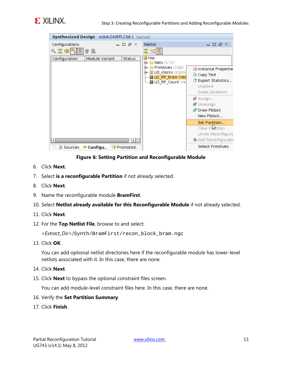



#### **Figure 6: Setting Partition and Reconfigurable Module**

- 6. Click **Next**.
- 7. Select **is a reconfigurable Partition** if not already selected.
- 8. Click **Next**.
- 9. Name the reconfigurable module **BramFirst**.
- 10. Select **Netlist already available for this Reconfigurable Module** if not already selected.
- 11. Click **Next**.
- 12. For the **Top Netlist File**, browse to and select:

*<Extract\_Dir>*/Synth/BramFirst/recon\_block\_bram.ngc

13. Click **OK**.

You can add optional netlist directories here if the reconfigurable module has lower-level netlists associated with it. In this case, there are none.

- 14. Click **Next**.
- 15. Click **Next** to bypass the optional constraint files screen.

You can add module-level constraint files here. In this case, there are none.

- 16. Verify the **Set Partition Summary**.
- 17. Click **Finish**.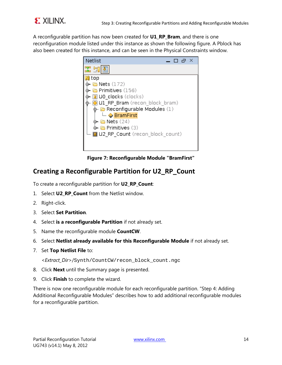

A reconfigurable partition has now been created for **U1\_RP\_Bram**, and there is one reconfiguration module listed under this instance as shown the following figure. A Pblock has also been created for this instance, and can be seen in the Physical Constraints window.



**Figure 7: Reconfigurable Module "BramFirst"**

### **Creating a Reconfigurable Partition for U2\_RP\_Count**

To create a reconfigurable partition for **U2\_RP\_Count**:

- 1. Select **U2\_RP\_Count** from the Netlist window.
- 2. Right-click.
- 3. Select **Set Partition**.
- 4. Select **is a reconfigurable Partition** if not already set.
- 5. Name the reconfigurable module **CountCW**.
- 6. Select **Netlist already available for this Reconfigurable Module** if not already set.
- 7. Set **Top Netlist File** to:

<*Extract\_Dir*>/Synth/CountCW/recon\_block\_count.ngc

- 8. Click **Next** until the Summary page is presented.
- 9. Click **Finish** to complete the wizard.

There is now one reconfigurable module for each reconfigurable partition. "Step 4: Adding Additional Reconfigurable Modules" describes how to add additional reconfigurable modules for a reconfigurable partition.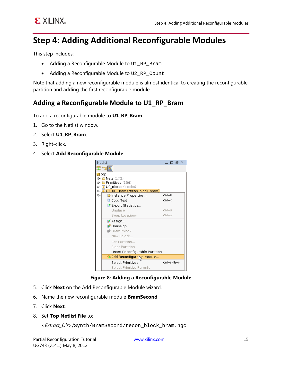### <span id="page-14-0"></span>**Step 4: Adding Additional Reconfigurable Modules**

This step includes:

- Adding a Reconfigurable Module to U1\_RP\_Bram
- Adding a Reconfigurable Module to U2\_RP\_Count

Note that adding a new reconfigurable module is almost identical to creating the reconfigurable partition and adding the first reconfigurable module.

#### **Adding a Reconfigurable Module to U1\_RP\_Bram**

To add a reconfigurable module to **U1\_RP\_Bram**:

- 1. Go to the Netlist window.
- 2. Select **U1\_RP\_Bram**.
- 3. Right-click.
- 4. Select **Add Reconfigurable Module**.



#### **Figure 8: Adding a Reconfigurable Module**

- 5. Click **Next** on the Add Reconfigurable Module wizard.
- 6. Name the new reconfigurable module **BramSecond**.
- 7. Click **Next**.
- 8. Set **Top Netlist File** to:

<*Extract\_Dir*>/Synth/BramSecond/recon\_block\_bram.ngc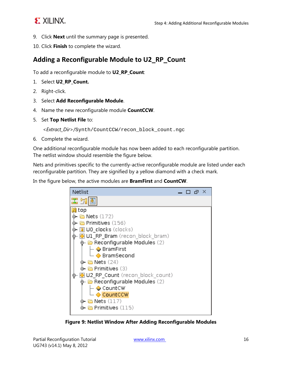### **EXILINX.**

- 9. Click **Next** until the summary page is presented.
- 10. Click **Finish** to complete the wizard.

### **Adding a Reconfigurable Module to U2\_RP\_Count**

To add a reconfigurable module to **U2\_RP\_Count**:

- 1. Select **U2\_RP\_Count.**
- 2. Right-click.
- 3. Select **Add Reconfigurable Module**.
- 4. Name the new reconfigurable module **CountCCW**.
- 5. Set **Top Netlist File** to:

<*Extract\_Dir*>/Synth/CountCCW/recon\_block\_count.ngc

6. Complete the wizard.

One additional reconfigurable module has now been added to each reconfigurable partition. The netlist window should resemble the figure below.

Nets and primitives specific to the currently-active reconfigurable module are listed under each reconfigurable partition. They are signified by a yellow diamond with a check mark.

In the figure below, the active modules are **BramFirst** and **CountCW**.



**Figure 9: Netlist Window After Adding Reconfigurable Modules**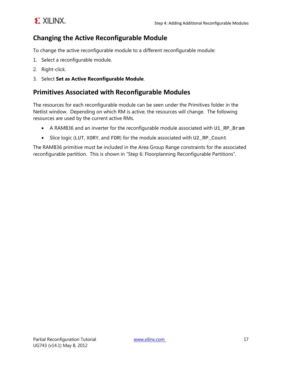

### **Changing the Active Reconfigurable Module**

To change the active reconfigurable module to a different reconfigurable module:

- 1. Select a reconfigurable module.
- 2. Right-click.
- 3. Select **Set as Active Reconfigurable Module**.

#### **Primitives Associated with Reconfigurable Modules**

The resources for each reconfigurable module can be seen under the Primitives folder in the Netlist window. Depending on which RM is active, the resources will change. The following resources are used by the current active RMs.

- A RAMB36 and an inverter for the reconfigurable module associated with U1\_RP\_Bram
- Slice logic (LUT, XORY, and FDR) for the module associated with U2\_RP\_Count

The RAMB36 primitive must be included in the Area Group Range constraints for the associated reconfigurable partition. This is shown in "Step 6: Floorplanning Reconfigurable Partitions".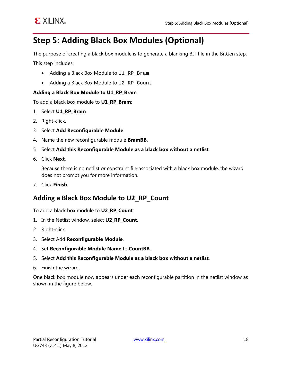

### <span id="page-17-0"></span>**Step 5: Adding Black Box Modules (Optional)**

The purpose of creating a black box module is to generate a blanking BIT file in the BitGen step.

This step includes:

- Adding a Black Box Module to U1\_RP\_Bram
- Adding a Black Box Module to U2\_RP\_Count

#### **Adding a Black Box Module to U1\_RP\_Bram**

To add a black box module to **U1\_RP\_Bram**:

- 1. Select **U1\_RP\_Bram**.
- 2. Right-click.
- 3. Select **Add Reconfigurable Module**.
- 4. Name the new reconfigurable module **BramBB**.
- 5. Select **Add this Reconfigurable Module as a black box without a netlist**.
- 6. Click **Next**.

Because there is no netlist or constraint file associated with a black box module, the wizard does not prompt you for more information.

7. Click **Finish**.

#### **Adding a Black Box Module to U2\_RP\_Count**

To add a black box module to **U2\_RP\_Count**:

- 1. In the Netlist window, select **U2\_RP\_Count**.
- 2. Right-click.
- 3. Select Add **Reconfigurable Module**.
- 4. Set **Reconfigurable Module Name** to **CountBB**.
- 5. Select **Add this Reconfigurable Module as a black box without a netlist**.
- 6. Finish the wizard.

One black box module now appears under each reconfigurable partition in the netlist window as shown in the figure below.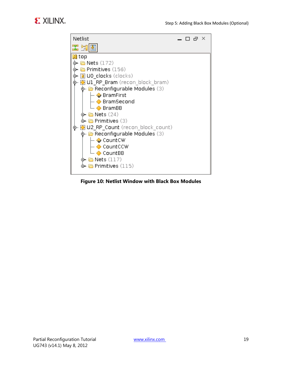

#### **Figure 10: Netlist Window with Black Box Modules**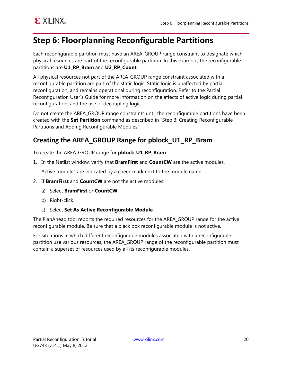### <span id="page-19-0"></span>**Step 6: Floorplanning Reconfigurable Partitions**

Each reconfigurable partition must have an AREA\_GROUP range constraint to designate which physical resources are part of the reconfigurable partition. In this example, the reconfigurable partitions are **U1\_RP\_Bram** and **U2\_RP\_Count**.

All physical resources not part of the AREA\_GROUP range constraint associated with a reconfigurable partition are part of the static logic. Static logic is unaffected by partial reconfiguration, and remains operational during reconfiguration. Refer to the Partial Reconfiguration User's Guide for more information on the affects of active logic during partial reconfiguration, and the use of decoupling logic.

Do not create the AREA\_GROUP range constraints until the reconfigurable partitions have been created with the **Set Partition** command as described in "Step 3: Creating Reconfigurable Partitions and Adding Reconfigurable Modules".

### **Creating the AREA\_GROUP Range for pblock\_U1\_RP\_Bram**

To create the AREA\_GROUP range for **pblock\_U1\_RP\_Bram**:

1. In the Netlist window, verify that **BramFirst** and **CountCW** are the active modules.

Active modules are indicated by a check mark next to the module name.

- 2. If **BramFirst** and **CountCW** are not the active modules:
	- a) Select **BramFirst** or **CountCW**.
	- b) Right-click.
	- c) Select **Set As Active Reconfigurable Module**.

The PlanAhead tool reports the required resources for the AREA\_GROUP range for the active reconfigurable module. Be sure that a black box reconfigurable module is not active.

For situations in which different reconfigurable modules associated with a reconfigurable partition use various resources, the AREA\_GROUP range of the reconfigurable partition must contain a superset of resources used by all its reconfigurable modules.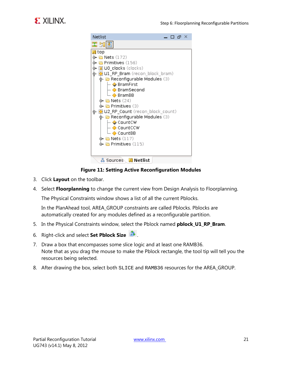

**Figure 11: Setting Active Reconfiguration Modules**

- 3. Click **Layout** on the toolbar.
- 4. Select **Floorplanning** to change the current view from Design Analysis to Floorplanning.

The Physical Constraints window shows a list of all the current Pblocks.

In the PlanAhead tool, AREA\_GROUP constraints are called Pblocks. Pblocks are automatically created for any modules defined as a reconfigurable partition.

- 5. In the Physical Constraints window, select the Pblock named **pblock\_U1\_RP\_Bram**.
- 6. Right-click and select **Set Pblock Size** .
- 7. Draw a box that encompasses some slice logic and at least one RAMB36. Note that as you drag the mouse to make the Pblock rectangle, the tool tip will tell you the resources being selected.
- 8. After drawing the box, select both SLICE and RAMB36 resources for the AREA\_GROUP.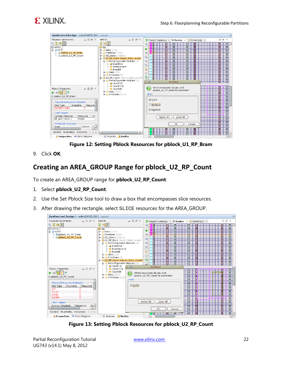

| Physical Constraints<br>$-$ 0 $\sigma$ $\times$<br>Netlist<br>$-$ 0 $\sigma$ $\times$<br>へ図字图<br>因比区<br>₹Π<br><b>B</b> netlist 1<br>$\mathbf N$ top<br>⇚<br>Œ<br>$\odot$ <b>P</b> ROOT<br>$\phi$ – $\Box$ Nets (172)<br>- pblock U1 RP Bram<br>$\div$ $\Box$ Primitives (156)<br>$\overline{\phantom{a}}$ pblock U2 RP Count<br>$\leftarrow \boxed{1}$ U0 clocks (clocks)<br>$\mathbf{Q}^{\perp}$<br>o- ○ U1 RP Bram (recon block bram)<br>B<br>œ<br>+ Reconfigurable Modules (3)<br>$\vdash \diamond$ BramFirst<br>$\mathbf{Q}$<br>- ◆ BramSecond<br>Ą.<br>$\overline{\phantom{a}}$ BramBB<br>Ħ<br>$\phi$ m Nets (24)<br>旧<br>Ň<br>$\phi$ - <b>In</b> Primitives (3)                                                                                                                                                                                    | $\Sigma$ Project Summary $\times$ $\triangleright$ Device $\times$ $\triangleright$ Schematic $\times$                                | $\Box$ $\Box$ $\chi$ |
|----------------------------------------------------------------------------------------------------------------------------------------------------------------------------------------------------------------------------------------------------------------------------------------------------------------------------------------------------------------------------------------------------------------------------------------------------------------------------------------------------------------------------------------------------------------------------------------------------------------------------------------------------------------------------------------------------------------------------------------------------------------------------------------------------------------------------------------------------------|---------------------------------------------------------------------------------------------------------------------------------------|----------------------|
|                                                                                                                                                                                                                                                                                                                                                                                                                                                                                                                                                                                                                                                                                                                                                                                                                                                          |                                                                                                                                       |                      |
|                                                                                                                                                                                                                                                                                                                                                                                                                                                                                                                                                                                                                                                                                                                                                                                                                                                          |                                                                                                                                       |                      |
| ŵ<br>+ NU2 RP Count (recon block count)                                                                                                                                                                                                                                                                                                                                                                                                                                                                                                                                                                                                                                                                                                                                                                                                                  |                                                                                                                                       |                      |
| + Reconfigurable Modules (3)<br>$\cdot$ 63<br>$ \bullet$ CountCW<br>$\vdash \diamondsuit$ CountCCW<br><br>7<br>$-$ 0 $\sigma$ $\times$<br><b>Pblock Properties</b><br>$\vdash \diamond$ CountBB<br>$\circledcirc$ Nets (117)<br>$\leftarrow$ $\rightarrow$ 3 $\rightarrow$ $\rightarrow$<br>Grids<br>$\leftarrow$ $\leftarrow$ Primitives (115)<br>pblock U1 RP Bram<br><b>⊠</b> SLICE<br><b>Physical Resource Estimates</b><br><b>C</b> RAMB18<br>Available<br>Require<br>Site Type<br>RAMBFIFO36E1<br>n.<br>■ RAMB36<br>Clock Report<br>Resource<br>Domain (Module)<br>l Ini<br>clk out(clocks)<br>Global<br>PR Module Statistics<br>내리<br><b>Value</b><br>Tyne<br>IIIII<br>E<br>General Statistics Instances 4 > E<br>$\overline{4}$<br>$\Box$<br>$\mathbf{H}$<br>圃<br><b>O</b> Properties <b>EXEC</b> Clock Regions<br><b>N</b> Netlist<br>& Sources | <b>Set Pblock</b><br>Which resources do you wish<br>pblock U1 RP Bram to constrain?<br>Select All<br>Clear All<br><b>OK</b><br>Cancel | i⊦~<br>国民            |

**Figure 12: Setting Pblock Resources for pblock\_U1\_RP\_Bram**

9. Click **OK**.

### **Creating an AREA\_GROUP Range for pblock\_U2\_RP\_Count**

To create an AREA\_GROUP range for **pblock\_U2\_RP\_Count**:

- 1. Select **pblock\_U2\_RP\_Count**.
- 2. Use the Set Pblock Size tool to draw a box that encompasses slice resources.
- 3. After drawing the rectangle, select SLICE resources for the AREA\_GROUP.



**Figure 13: Setting Pblock Resources for pblock\_U2\_RP\_Count**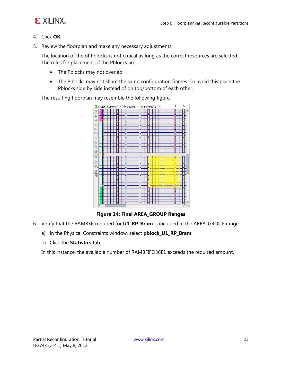

- 4. Click **OK**.
- 5. Review the floorplan and make any necessary adjustments.

The location of the of Pblocks is not critical as long as the correct resources are selected. The rules for placement of the Pblocks are:

- The Pblocks may not overlap
- The Plbocks may not share the same configuration frames. To avoid this place the Pblocks side by side instead of on top/bottom of each other.

The resulting floorplan may resemble the following figure.



**Figure 14: Final AREA\_GROUP Ranges**

- 6. Verify that the RAMB36 required for **U1\_RP\_Bram** is included in the AREA\_GROUP range.
	- a) In the Physical Constraints window, select **pblock\_U1\_RP\_Bram**.
	- b) Click the **Statistics** tab.

In this instance, the available number of RAMBFIFO36E1 exceeds the required amount.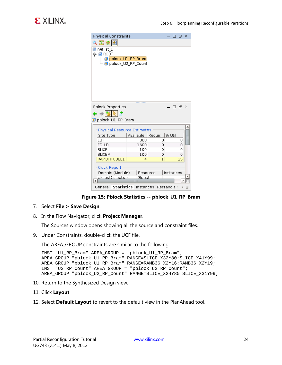| 医鼻圆<br><b>B</b> netlist 1<br>(⊳ <mark>pi</mark> ROOT<br>– <mark>o</mark> pblock_U1_RP_Bram |  |  |  |  |
|--------------------------------------------------------------------------------------------|--|--|--|--|
|                                                                                            |  |  |  |  |
|                                                                                            |  |  |  |  |
|                                                                                            |  |  |  |  |
|                                                                                            |  |  |  |  |
| pblock_U2_RP_Count                                                                         |  |  |  |  |
|                                                                                            |  |  |  |  |
|                                                                                            |  |  |  |  |
|                                                                                            |  |  |  |  |
|                                                                                            |  |  |  |  |
|                                                                                            |  |  |  |  |
|                                                                                            |  |  |  |  |
|                                                                                            |  |  |  |  |
| <b>Pblock Properties</b><br>$\Box$ $\Box$ $\times$                                         |  |  |  |  |
| ← → BSIR IT*                                                                               |  |  |  |  |
| pblock U1 RP Bram                                                                          |  |  |  |  |
|                                                                                            |  |  |  |  |
| Physical Resource Estimates                                                                |  |  |  |  |
| Available<br>Requir   % Util<br>Site Type                                                  |  |  |  |  |
| LUT<br>800<br>0<br>0                                                                       |  |  |  |  |
| 1600<br>0<br>0<br>FD LD                                                                    |  |  |  |  |
| <b>SLICEL</b><br>100<br>0<br>٥                                                             |  |  |  |  |
| <b>SLICEM</b><br>100<br>0<br>0                                                             |  |  |  |  |
| RAMBFIFO36E1<br>25<br>1<br>4                                                               |  |  |  |  |
| Clock Report                                                                               |  |  |  |  |
| Domain (Module)<br>Instances<br>Resource                                                   |  |  |  |  |
| cik aut( clacks )<br>Global                                                                |  |  |  |  |
|                                                                                            |  |  |  |  |
| General   <b>Statistics</b><br>Instances I<br>Rectangle $\triangleleft$<br>目               |  |  |  |  |

**Figure 15: Pblock Statistics -- pblock\_U1\_RP\_Bram**

- 7. Select **File > Save Design**.
- 8. In the Flow Navigator, click **Project Manager**.

The Sources window opens showing all the source and constraint files.

9. Under Constraints, double-click the UCF file.

The AREA\_GROUP constraints are similar to the following.

```
INST "U1_RP_Bram" AREA_GROUP = "pblock_U1_RP_Bram";
AREA_GROUP "pblock_U1_RP_Bram" RANGE=SLICE_X32Y80:SLICE_X41Y99;
AREA_GROUP "pblock_U1_RP_Bram" RANGE=RAMB36_X2Y16:RAMB36_X2Y19;
INST "U2_RP_Count" AREA_GROUP = "pblock_U2_RP_Count";
AREA_GROUP "pblock_U2_RP_Count" RANGE=SLICE_X24Y80:SLICE_X31Y99;
```
- 10. Return to the Synthesized Design view.
- 11. Click **Layout**.
- 12. Select **Default Layout** to revert to the default view in the PlanAhead tool.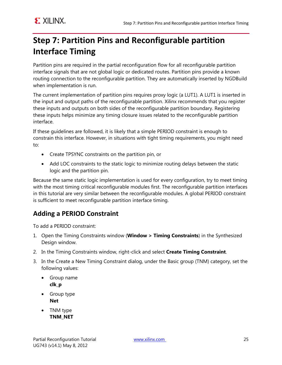### <span id="page-24-0"></span>**Step 7: Partition Pins and Reconfigurable partition Interface Timing**

Partition pins are required in the partial reconfiguration flow for all reconfigurable partition interface signals that are not global logic or dedicated routes. Partition pins provide a known routing connection to the reconfigurable partition. They are automatically inserted by NGDBuild when implementation is run.

The current implementation of partition pins requires proxy logic (a LUT1). A LUT1 is inserted in the input and output paths of the reconfigurable partition. Xilinx recommends that you register these inputs and outputs on both sides of the reconfigurable partition boundary. Registering these inputs helps minimize any timing closure issues related to the reconfigurable partition interface.

If these guidelines are followed, it is likely that a simple PERIOD constraint is enough to constrain this interface. However, in situations with tight timing requirements, you might need to:

- Create TPSYNC constraints on the partition pin, or
- Add LOC constraints to the static logic to minimize routing delays between the static logic and the partition pin.

Because the same static logic implementation is used for every configuration, try to meet timing with the most timing critical reconfigurable modules first. The reconfigurable partition interfaces in this tutorial are very similar between the reconfigurable modules. A global PERIOD constraint is sufficient to meet reconfigurable partition interface timing.

### **Adding a PERIOD Constraint**

To add a PERIOD constraint:

- 1. Open the Timing Constraints window (**Window > Timing Constraints**) in the Synthesized Design window.
- 2. In the Timing Constraints window, right-click and select **Create Timing Constraint**.
- 3. In the Create a New Timing Constraint dialog, under the Basic group (TNM) category, set the following values:
	- Group name **clk\_p**
	- Group type **Net**
	- TNM type **TNM\_NET**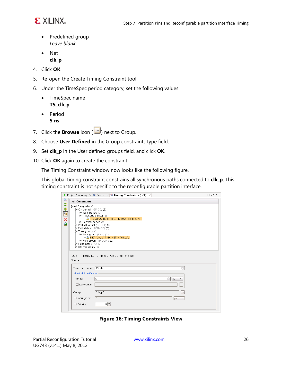

- Predefined group *Leave blank*
- Net **clk\_p**
- 4. Click **OK**.
- 5. Re-open the Create Timing Constraint tool.
- 6. Under the TimeSpec period category, set the following values:
	- TimeSpec name **TS\_clk\_p**
	- Period
		- **5 ns**
- 7. Click the **Browse** icon ( ) next to Group.
- 8. Choose **User Defined** in the Group constraints type field.
- 9. Set **clk\_p** in the User defined groups field, and click **OK**.
- 10. Click **OK** again to create the constraint.

The Timing Constraint window now looks like the following figure.

This global timing constraint constrains all synchronous paths connected to **clk\_p**. This timing constraint is not specific to the reconfigurable partition interface.

|                       |                                                                                                                                                                                                                                                                                                                         | $\Sigma$ Project Summary $\times$ $\triangleright$ Device $\times$ <b>E Timing Constraints (UCF)</b> $\times$                                                                                          | $\Box$ $\Box$ $\times$ |
|-----------------------|-------------------------------------------------------------------------------------------------------------------------------------------------------------------------------------------------------------------------------------------------------------------------------------------------------------------------|--------------------------------------------------------------------------------------------------------------------------------------------------------------------------------------------------------|------------------------|
| Q                     | <b>All Constraints</b>                                                                                                                                                                                                                                                                                                  |                                                                                                                                                                                                        |                        |
| 罟<br>隐<br>唱<br>×<br>麻 | P-All Categories (2)<br>. Clk period (PERIOD) (1)<br>$\Phi$ Basic period (0)<br>+ Timespec period (1)<br>The Derived period (0)<br>Pad-clk offset (OFFSET) (0)<br>P Path delay (FROM-TO) (0)<br>+ Time groups (1)<br>P-Basic group (TNM) (1)<br>$\Phi$ -False path (TIG) (0)<br>→ Off chip delay (0)<br>UCF:<br>Source: | $\Box$ $\hat{a}$ TIMESPEC TS_cIK_p = PERIOD "cIK_p" 5 ns;<br>$\vdash$ $\mathbf{\hat{a}}$ , NET "clk_p" TNM_NET = "clk_p";<br>Multi group (TIMEGRP) (0)<br><br>TIMESPEC TS_clk_p = PERIOD "clk_p" 5 ns; |                        |
|                       | Timespec name:<br>-Period Specification<br>Period:<br>$\Box$ Duty Cycle:<br>Group:<br>$\Box$ Input jitter:<br>$\Box$ Priority.                                                                                                                                                                                          | TS_clk_p<br>15.<br>ns<br>۰<br>$\cdots$<br>"clk_p"<br>l o<br><b>DS</b><br>아퀴                                                                                                                            |                        |

**Figure 16: Timing Constraints View**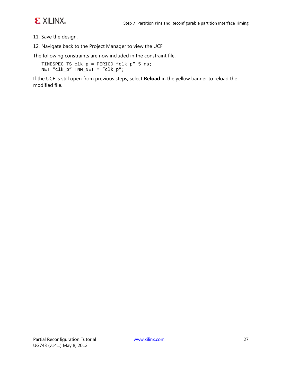

- 11. Save the design.
- 12. Navigate back to the Project Manager to view the UCF.

The following constraints are now included in the constraint file.

```
TIMESPEC TS_clk_p = PERIOD "clk_p" 5 ns;
NET "clk_p" TNM_NET = "clk_p";
```
If the UCF is still open from previous steps, select **Reload** in the yellow banner to reload the modified file.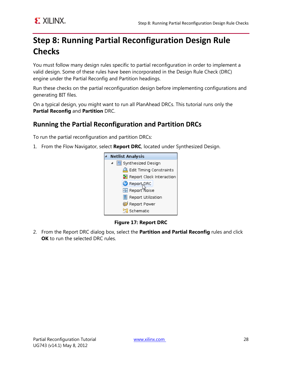### <span id="page-27-0"></span>**Step 8: Running Partial Reconfiguration Design Rule Checks**

You must follow many design rules specific to partial reconfiguration in order to implement a valid design. Some of these rules have been incorporated in the Design Rule Check (DRC) engine under the Partial Reconfig and Partition headings.

Run these checks on the partial reconfiguration design before implementing configurations and generating BIT files.

On a typical design, you might want to run all PlanAhead DRCs. This tutorial runs only the **Partial Reconfig** and **Partition** DRC.

### **Running the Partial Reconfiguration and Partition DRCs**

To run the partial reconfiguration and partition DRCs:

1. From the Flow Navigator, select **Report DRC**, located under Synthesized Design.



**Figure 17: Report DRC**

2. From the Report DRC dialog box, select the **Partition and Partial Reconfig** rules and click **OK** to run the selected DRC rules.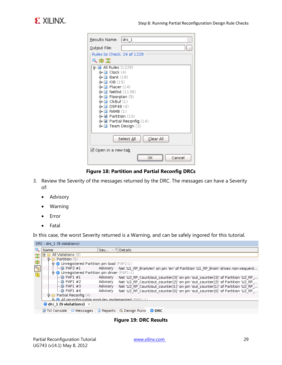

| $drc_1$<br>Results Name:                               |  |  |  |  |
|--------------------------------------------------------|--|--|--|--|
| Output File:                                           |  |  |  |  |
| Rules to Check: 24 of 1229                             |  |  |  |  |
| へいこ                                                    |  |  |  |  |
| <b>Ø</b> All Rules (1229)<br>⊕                         |  |  |  |  |
| Clock(4)                                               |  |  |  |  |
| <b>Bank</b> (19)<br>IOB(15)                            |  |  |  |  |
| Placer $(14)$                                          |  |  |  |  |
| <b>Netlist</b> (1139)                                  |  |  |  |  |
| Floorplan (5)                                          |  |  |  |  |
| $C$ <sub>k</sub> Buf $(1)$<br>⊙                        |  |  |  |  |
| <b>DSP48</b> (4)<br>Θ<br>$\blacksquare$ RAMB (1)<br>⊙− |  |  |  |  |
| <b><math>\blacksquare</math></b> Partition (10)<br>⊛−  |  |  |  |  |
| ∲- ⊠ Partial Reconfig (14)                             |  |  |  |  |
| Team Design (3)<br>⊚⊢ ⊟                                |  |  |  |  |
|                                                        |  |  |  |  |
| Clear All<br>Select All                                |  |  |  |  |
| iiill Open in a new ta <u>b</u>                        |  |  |  |  |
| Cancel<br>ОΚ                                           |  |  |  |  |

#### **Figure 18: Partition and Partial Reconfig DRCs**

- 3. Review the Severity of the messages returned by the DRC. The messages can have a Severity of:
	- Advisory
	- Warning
	- Error
	- Fatal

In this case, the worst Severity returned is a Warning, and can be safely ingored for this tutorial.

| DRC - drc 1 (9 violations)                     |      |                                                                 |                     |                                                                               |
|------------------------------------------------|------|-----------------------------------------------------------------|---------------------|-------------------------------------------------------------------------------|
|                                                | Name |                                                                 | Sev<br>$\mathbf{1}$ | Details                                                                       |
| 罖                                              |      | <b>P All Violations</b> (9)                                     |                     |                                                                               |
|                                                |      | $\odot$ Partition (5)                                           |                     |                                                                               |
| 隐                                              |      | ♦ O Unregistered Partition pin load (PAP2-1)                    |                     |                                                                               |
| $\mathbb{E}^{\text{abs}}$                      |      | $\Box$ PAP2 #1                                                  | Advisory            | Net 'U1 RP Bram/en' on pin 'en' of Partition 'U1 RP Bram' drives non-sequent  |
| ♦ O Unregistered Partition pin driver (PAP1-1) |      |                                                                 |                     |                                                                               |
|                                                |      | $\vdash \circledR$ PAPl #1                                      | Advisory            | Net 'U2 RP Count/out counter[3]' on pin 'out counter[3]' of Partition 'U2 RP  |
|                                                |      | $\vdash \blacksquare$ PAPl #2                                   | Advisory            | Net 'U2 RP Count/out counter[2]' on pin 'out counter[2]' of Partition 'U2 RP  |
|                                                |      | $\vdash \textcircled{a}$ PAP1 #3                                | Advisory            | Net 'U2 RP Count/out counter[1]' on pin 'out counter[1]' of Partition 'U2 RP  |
|                                                |      | $\Box$ PAP1 #4                                                  | Advisory            | Net 'U2_RP_Count/out_counter[0]' on pin 'out_counter[0]' of Partition 'U2_RP_ |
|                                                |      | $\Phi$ <b>D</b> Partial Reconfig (4)                            |                     |                                                                               |
|                                                |      |                                                                 |                     |                                                                               |
| $\bigoplus$ drc 1 (9 violations) $\times$      |      |                                                                 |                     |                                                                               |
|                                                |      | <b>圆 Tel Console   ● Messages   圓 Reports   嚵 Design Runs</b> \ |                     | O DRC                                                                         |

**Figure 19: DRC Results**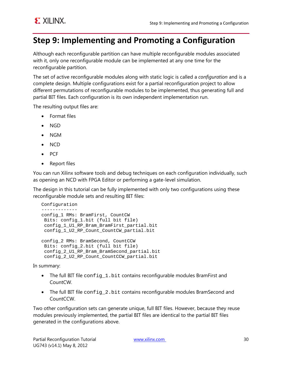### <span id="page-29-0"></span>**Step 9: Implementing and Promoting a Configuration**

Although each reconfigurable partition can have multiple reconfigurable modules associated with it, only one reconfigurable module can be implemented at any one time for the reconfigurable partition.

The set of active reconfigurable modules along with static logic is called a *configuration* and is a complete design. Multiple configurations exist for a partial reconfiguration project to allow different permutations of reconfigurable modules to be implemented, thus generating full and partial BIT files. Each configuration is its own independent implementation run.

The resulting output files are:

- Format files
- NGD
- NGM
- NCD
- PCF
- Report files

You can run Xilinx software tools and debug techniques on each configuration individually, such as opening an NCD with FPGA Editor or performing a gate-level simulation.

The design in this tutorial can be fully implemented with only two configurations using these reconfigurable module sets and resulting BIT files:

```
Configuration
-------------
config_1 RMs: BramFirst, CountCW
Bits: config_1.bit (full bit file)
 config_1_U1_RP_Bram_BramFirst_partial.bit
 config_1_U2_RP_Count_CountCW_partial.bit
config_2 RMs: BramSecond, CountCCW 
 Bits: config_2.bit (full bit file)
 config_2_U1_RP_Bram_BramSecond_partial.bit
 config 2 U2 RP Count CountCCW partial.bit
```
In summary:

- The full BIT file  $config_1.bit$  contains reconfigurable modules BramFirst and CountCW.
- The full BIT file config 2.bit contains reconfigurable modules BramSecond and CountCCW.

Two other configuration sets can generate unique, full BIT files. However, because they reuse modules previously implemented, the partial BIT files are identical to the partial BIT files generated in the configurations above.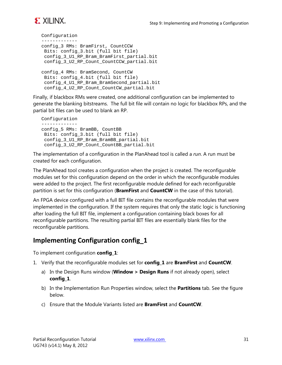

```
Configuration 
-------------
config_3 RMs: BramFirst, CountCCW
Bits: config_3.bit (full bit file)
config 3 U1 RP Bram BramFirst partial.bit
config 3 U2 RP Count CountCCW partial.bit
config_4 RMs: BramSecond, CountCW
 Bits: config_4.bit (full bit file)
 config 4 U1 RP Bram BramSecond partial.bit
 config_4_U2_RP_Count_CountCW_partial.bit
```
Finally, if blackbox RMs were created, one additional configuration can be implemented to generate the blanking bitstreams. The full bit file will contain no logic for blackbox RPs, and the partial bit files can be used to blank an RP.

```
Configuration 
-------------
config_5 RMs: BramBB, CountBB
Bits: config_3.bit (full bit file)
 config_3_U1_RP_Bram_BramBB_partial.bit
 config_3_U2_RP_Count_CountBB_partial.bit
```
The implementation of a configuration in the PlanAhead tool is called a *run*. A run must be created for each configuration.

The PlanAhead tool creates a configuration when the project is created. The reconfigurable modules set for this configuration depend on the order in which the reconfigurable modules were added to the project. The first reconfigurable module defined for each reconfigurable partition is set for this configuration (**BramFirst** and **CountCW** in the case of this tutorial).

An FPGA device configured with a full BIT file contains the reconfigurable modules that were implemented in the configuration. If the system requires that only the static logic is functioning after loading the full BIT file, implement a configuration containing black boxes for all reconfigurable partitions. The resulting partial BIT files are essentially blank files for the reconfigurable partitions.

#### **Implementing Configuration config\_1**

To implement configuration **config\_1**:

- 1. Verify that the reconfigurable modules set for **config\_1** are **BramFirst** and **CountCW**.
	- a) In the Design Runs window (**Window > Design Runs** if not already open), select **config\_1**.
	- b) In the Implementation Run Properties window, select the **Partitions** tab. See the figure below.
	- c) Ensure that the Module Variants listed are **BramFirst** and **CountCW**.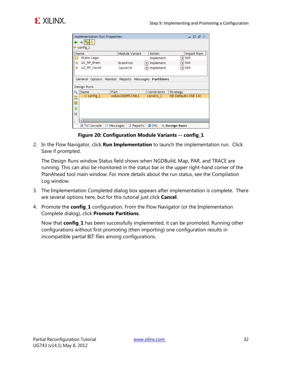| Implementation Run Properties<br>$F \times$<br>— n                    |                                          |            |                       |  |  |
|-----------------------------------------------------------------------|------------------------------------------|------------|-----------------------|--|--|
|                                                                       |                                          |            |                       |  |  |
| $\Rightarrow$ config 1                                                |                                          |            |                       |  |  |
| Name                                                                  | Module Variant                           | Action     | Import from           |  |  |
| $\bullet$<br>Static Logic                                             |                                          | Implement  | N/A<br>▾              |  |  |
| ◈<br>U1_RP_Bram                                                       | <b>BramFirst</b><br>$\blacktriangledown$ | Implement  | N/A                   |  |  |
| €<br>U2 RP Count                                                      | CountCW<br>▾                             | Implement  | N/A<br>▾              |  |  |
|                                                                       |                                          |            |                       |  |  |
| General Options                                                       | Monitor Reports Messages                 | Partitions |                       |  |  |
| Design Runs                                                           |                                          |            |                       |  |  |
| Constraints<br>Name<br>Part<br>Strategy                               |                                          |            |                       |  |  |
| $-\Rightarrow$ config_1                                               | xc6vk240tff1156-1                        | constrs 1  | ISE Defaults (ISE 14) |  |  |
| 罖                                                                     |                                          |            |                       |  |  |
| 隐                                                                     |                                          |            |                       |  |  |
| ⋑                                                                     |                                          |            |                       |  |  |
| К                                                                     |                                          |            |                       |  |  |
| S.                                                                    |                                          |            |                       |  |  |
| <b>■ Tcl Console</b><br>O DRC<br>Reports<br>鸟 Design Runs<br>Messages |                                          |            |                       |  |  |

**Figure 20: Configuration Module Variants -- config\_1**

2. In the Flow Navigator, click **Run Implementation** to launch the implementation run. Click Save if prompted.

The Design Runs window Status field shows when NGDBuild, Map, PAR, and TRACE are running. This can also be monitored in the status bar in the upper right-hand corner of the PlanAhead tool main window. For more details about the run status, see the Compilation Log window.

- 3. The Implementation Completed dialog box appears after implementation is complete. There are several options here, but for this tutorial just click **Cancel**.
- 4. Promote the **config\_1** configuration. From the Flow Navigator (or the Implementation Complete dialog), click **Promote Partitions**.

Now that **config\_1** has been successfully implemented, it can be promoted. Running other configurations without first promoting (then importing) one configuration results in incompatible partial BIT files among configurations.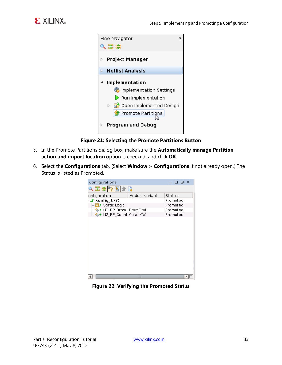



**Figure 21: Selecting the Promote Partitions Button**

- 5. In the Promote Partitions dialog box, make sure the **Automatically manage Partition action and import location** option is checked, and click **OK**.
- 6. Select the **Configurations** tab. (Select **Window > Configurations** if not already open.) The Status is listed as Promoted.



**Figure 22: Verifying the Promoted Status**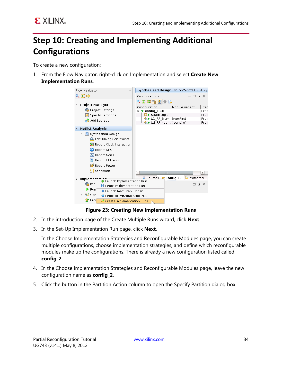

### <span id="page-33-0"></span>**Step 10: Creating and Implementing Additional Configurations**

To create a new configuration:

1. From the Flow Navigator, right-click on Implementation and select **Create New Implementation Runs**.



#### **Figure 23: Creating New Implementation Runs**

- 2. In the introduction page of the Create Multiple Runs wizard, click **Next**.
- 3. In the Set-Up Implementation Run page, click **Next**.

In the Choose Implementation Strategies and Reconfigurable Modules page, you can create multiple configurations, choose implementation strategies, and define which reconfigurable modules make up the configurations. There is already a new configuration listed called **config\_2**.

- 4. In the Choose Implementation Strategies and Reconfigurable Modules page, leave the new configuration name as **config\_2**.
- 5. Click the button in the Partition Action column to open the Specify Partition dialog box.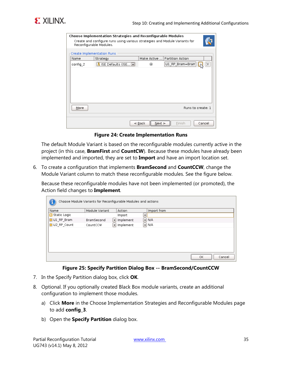

| <b>Choose Implementation Strategies and Reconfigurable Modules</b><br>Create and configure runs using various strategies and Module Variants for<br>Reconfigurable Modules. |                                             |
|-----------------------------------------------------------------------------------------------------------------------------------------------------------------------------|---------------------------------------------|
| Create Implementation Runs                                                                                                                                                  |                                             |
| Name<br>Strategy                                                                                                                                                            | Make Active  Partition Action               |
| <mark>Å</mark> ISE Defaults (ISE ◘  <br>config 2                                                                                                                            | U1_RP_Bram=Bram<br>◉                        |
| More                                                                                                                                                                        | Runs to create: 1                           |
|                                                                                                                                                                             | Cancel<br>$\leq$ Back<br>$Next$ ><br>Finish |

**Figure 24: Create Implementation Runs**

The default Module Variant is based on the reconfigurable modules currently active in the project (in this case, **BramFirst** and **CountCW**). Because these modules have already been implemented and imported, they are set to **Import** and have an import location set.

6. To create a configuration that implements **BramSecond** and **CountCCW**, change the Module Variant column to match these reconfigurable modules. See the figure below.

Because these reconfigurable modules have not been implemented (or promoted), the Action field changes to **Implement**.

| Name                  | Module Variant | Action                          | Import from               |  |
|-----------------------|----------------|---------------------------------|---------------------------|--|
| <b>O</b> Static Logic |                | Import                          | ▼                         |  |
| OUL_RP_Bram           | BramSecond     | $\blacktriangleright$ Implement | $\blacktriangleright$ N/A |  |
| U2 RP Count           | CountCCW       | $\blacktriangleright$ Implement | $\blacktriangleright$ N/A |  |
|                       |                |                                 |                           |  |
|                       |                |                                 |                           |  |
|                       |                |                                 |                           |  |
|                       |                |                                 |                           |  |
|                       |                |                                 |                           |  |

**Figure 25: Specify Partition Dialog Box -- BramSecond/CountCCW**

- 7. In the Specify Partition dialog box, click **OK**.
- 8. Optional. If you optionally created Black Box module variants, create an additional configuration to implement those modules.
	- a) Click **More** in the Choose Implementation Strategies and Reconfigurable Modules page to add **config\_3**.
	- b) Open the **Specify Partition** dialog box.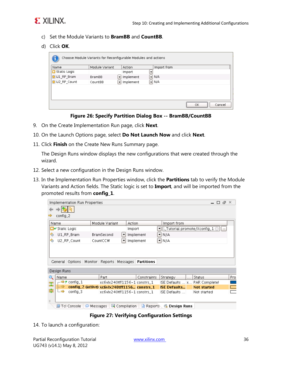

- c) Set the Module Variants to **BramBB** and **CountBB**.
- d) Click **OK**.

| Name                     | Module Variant | Action         | Import from               |  |
|--------------------------|----------------|----------------|---------------------------|--|
| Static Logic             |                | Import         |                           |  |
| U1_RP_Bram               | <b>BramBB</b>  | Implement<br>▾ | $\blacktriangleright$ N/A |  |
| U <sub>2_RP_</sub> Count | CountBB        | Implement<br>▾ | $\blacktriangleright$ N/A |  |
|                          |                |                |                           |  |
|                          |                |                |                           |  |
|                          |                |                |                           |  |

**Figure 26: Specify Partition Dialog Box -- BramBB/CountBB**

- 9. On the Create Implementation Run page, click **Next**.
- 10. On the Launch Options page, select **Do Not Launch Now** and click **Next**.
- 11. Click **Finish** on the Create New Runs Summary page.

The Design Runs window displays the new configurations that were created through the wizard.

- 12. Select a new configuration in the Design Runs window.
- 13. In the Implementation Run Properties window, click the **Partitions** tab to verify the Module Variants and Action fields. The Static logic is set to **Import**, and will be imported from the promoted results from **config\_1**.

|                                                                                                        | Implementation Run Properties<br>א ה<br>П. |             |                          |            |    |           |                                              |    |                      |  |                    |     |
|--------------------------------------------------------------------------------------------------------|--------------------------------------------|-------------|--------------------------|------------|----|-----------|----------------------------------------------|----|----------------------|--|--------------------|-----|
|                                                                                                        |                                            |             |                          |            |    |           |                                              |    |                      |  |                    |     |
| config_2                                                                                               |                                            |             |                          |            |    |           |                                              |    |                      |  |                    |     |
| Name                                                                                                   |                                            |             | Module Variant<br>Action |            |    |           | Import from                                  |    |                      |  |                    |     |
| CI∉ Static Logic                                                                                       |                                            |             | Import                   |            | ▼∣ |           | :_Tutorial.promote/Xconfig_1                 |    |                      |  |                    |     |
| ⊛                                                                                                      |                                            | U1_RP_Bram  |                          | BramSecond |    | Implement |                                              | ▼∣ | N/A                  |  |                    |     |
| ⊛                                                                                                      |                                            | U2_RP_Count |                          | CountCCW   |    | Implement |                                              | ▼∣ | N/A                  |  |                    |     |
|                                                                                                        |                                            |             |                          |            |    |           |                                              |    |                      |  |                    |     |
| General Options<br>Monitor<br>Reports<br>Messages<br>Partitions                                        |                                            |             |                          |            |    |           |                                              |    |                      |  |                    |     |
| Design Runs                                                                                            |                                            |             |                          |            |    |           |                                              |    |                      |  |                    |     |
|                                                                                                        | Name                                       |             |                          | Part.      |    |           | Constraints                                  |    | Strategy             |  | Status             | Pro |
| 罖                                                                                                      |                                            | –→ config_1 |                          |            |    |           | xc6\dx240tff1156-1 constrs_1                 |    | $ SE$ Defaults $ X $ |  | PAR Complete!      |     |
| 隐                                                                                                      |                                            |             |                          |            |    |           | config_2 (active) xc6vlx240tff1156 constrs_1 |    | <b>ISE Defaults</b>  |  | <b>Not started</b> |     |
|                                                                                                        |                                            | config_3    |                          |            |    |           | xc6\dx240tff1156-1 constrs_1                 |    | ISE Defaults         |  | Not started        |     |
| ¥,                                                                                                     |                                            |             |                          |            |    |           |                                              |    |                      |  |                    |     |
| 鳳 Tcl Console<br>国 Compilation<br><b>Messages</b><br>Reports<br><b>鸟 Design Runs</b><br>L9.<br>$\circ$ |                                            |             |                          |            |    |           |                                              |    |                      |  |                    |     |

**Figure 27: Verifying Configuration Settings**

14. To launch a configuration: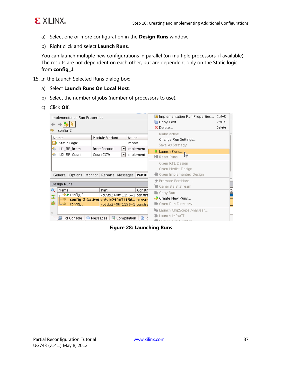

- a) Select one or more configuration in the **Design Runs** window.
- b) Right click and select **Launch Runs**.

You can launch multiple new configurations in parallel (on multiple processors, if available). The results are not dependent on each other, but are dependent only on the Static logic from **config\_1**.

- 15. In the Launch Selected Runs dialog box:
	- a) Select **Launch Runs On Local Host**.
	- b) Select the number of jobs (number of processors to use).
	- c) Click **OK**.

| Implementation Run Properties<br>config_2                                                   |                                                                                                      | Inplementation Run Properties<br>$Ctrl + E$<br>La Copy Text<br>$Ctrl + C$<br>$\times$ Delete<br>Delete<br>Make active |            |                                                                        |  |  |  |  |
|---------------------------------------------------------------------------------------------|------------------------------------------------------------------------------------------------------|-----------------------------------------------------------------------------------------------------------------------|------------|------------------------------------------------------------------------|--|--|--|--|
| Name                                                                                        | Module Variant                                                                                       | Action                                                                                                                |            | Change Run Settings                                                    |  |  |  |  |
| CI∉ Static Logic                                                                            |                                                                                                      | Import                                                                                                                |            | Save As Strategy                                                       |  |  |  |  |
| ☜<br>U1_RP_Bram                                                                             | BramSecond<br>▼                                                                                      |                                                                                                                       | Implement  | Launch Runs N                                                          |  |  |  |  |
| ☜<br>U2_RP_Count<br>CountCCW<br>Implement<br>▼                                              |                                                                                                      |                                                                                                                       |            | <b>K</b> Reset Runs                                                    |  |  |  |  |
| General Options                                                                             | Monitor   Reports   Messages                                                                         |                                                                                                                       | Partiti    | Open RTL Design<br>Open Netlist Design<br>Open Implemented Design      |  |  |  |  |
| Design Runs                                                                                 |                                                                                                      | <b>S</b> Promote Partitions<br>■ Generate Bitstream                                                                   |            |                                                                        |  |  |  |  |
| Name<br>Q                                                                                   | Part                                                                                                 |                                                                                                                       | Constri    | ⊪ Copy Run…                                                            |  |  |  |  |
| $\overline{\phantom{a}}$ $\rightarrow$ $\rightarrow$ config_1<br>罖<br>隐<br>- =><br>config_3 | xc6\dx240tff1156-1 constrs<br>config_2 (active) xc6vlx240tff1156 constr<br>xc6Mx240tff1156-1 constrs |                                                                                                                       |            | ■ Create New Runs<br>Open Run Directory                                |  |  |  |  |
| 鳳 Tcl Console                                                                               | 国 Compilation<br>Messages                                                                            |                                                                                                                       | <b>A</b> R | s Launch ChipScope Analyzer<br>Launch iMPACT<br>  ■ Launab EDCA Ealtar |  |  |  |  |

#### **Figure 28: Launching Runs**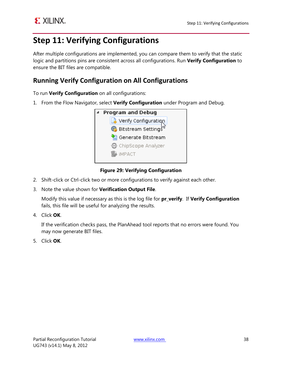### <span id="page-37-0"></span>**Step 11: Verifying Configurations**

After multiple configurations are implemented, you can compare them to verify that the static logic and partitions pins are consistent across all configurations. Run **Verify Configuration** to ensure the BIT files are compatible.

### **Running Verify Configuration on All Configurations**

To run **Verify Configuration** on all configurations:

1. From the Flow Navigator, select **Verify Configuration** under Program and Debug.



#### **Figure 29: Verifying Configuration**

- 2. Shift-click or Ctrl-click two or more configurations to verify against each other.
- 3. Note the value shown for **Verification Output File**.

Modify this value if necessary as this is the log file for **pr\_verify**. If **Verify Configuration** fails, this file will be useful for analyzing the results.

4. Click **OK**.

If the verification checks pass, the PlanAhead tool reports that no errors were found. You may now generate BIT files.

5. Click **OK**.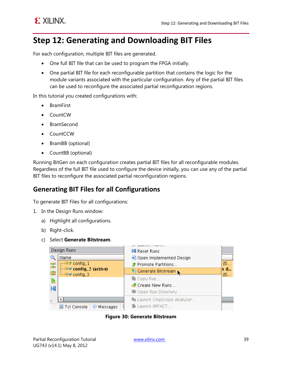

### <span id="page-38-0"></span>**Step 12: Generating and Downloading BIT Files**

For each configuration, multiple BIT files are generated.

- One full BIT file that can be used to program the FPGA initially.
- One partial BIT file for each reconfigurable partition that contains the logic for the module variants associated with the particular configuration. Any of the partial BIT files can be used to reconfigure the associated partial reconfiguration regions.

In this tutorial you created configurations with:

- BramFirst
- CountCW
- BramSecond
- CountCCW
- BramBB (optional)
- CountBB (optional)

Running BitGen on each configuration creates partial BIT files for all reconfigurable modules. Regardless of the full BIT file used to configure the device initially, you can use any of the partial BIT files to reconfigure the associated partial reconfiguration regions.

#### **Generating BIT Files for all Configurations**

To generate BIT Files for all configurations:

- 1. In the Design Runs window:
	- a) Highlight all configurations.
	- b) Right-click.
	- c) Select **Generate Bitstream**.



**Figure 30: Generate Bitstream**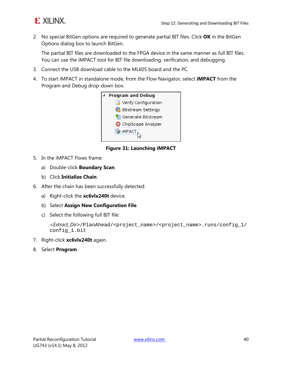

2. No special BitGen options are required to generate partial BIT files. Click **OK** in the BitGen Options dialog box to launch BitGen.

The partial BIT files are downloaded to the FPGA device in the same manner as full BIT files. You can use the iMPACT tool for BIT file downloading, verification, and debugging.

- 3. Connect the USB download cable to the ML605 board and the PC.
- 4. To start iMPACT in standalone mode, from the Flow Navigator, select **iMPACT** from the Program and Debug drop-down box.



**Figure 31: Launching iMPACT**

- 5. In the iMPACT Flows frame:
	- a) Double-click **Boundary Scan**.
	- b) Click **Initialize Chain**.
- 6. After the chain has been successfully detected:
	- a) Right-click the **xc6vlx240t** device.
	- b) Select **Assign New Configuration File**.
	- c) Select the following full BIT file:

```
<Extract_Dir>/PlanAhead/<project_name>/<project_name>.runs/config_1/
config_1.bit
```
- 7. Right-click **xc6vlx240t** again.
- 8. Select **Program**.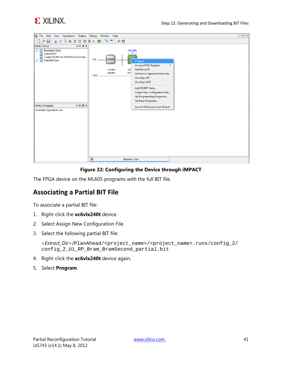



#### **Figure 32: Configuring the Device through iMPACT**

The FPGA device on the ML605 programs with the full BIT file.

#### **Associating a Partial BIT File**

To associate a partial BIT file:

- 1. Right-click the **xc6vlx240t** device.
- 2. Select Assign New Configuration File.
- 3. Select the following partial BIT file:

<*Extract\_Dir*>/PlanAhead/<project\_name>/<project\_name>.runs/config\_2/ config\_2\_U1\_RP\_Bram\_BramSecond\_partial.bit

- 4. Right-click the **xc6vlx240t** device again.
- 5. Select **Program**.